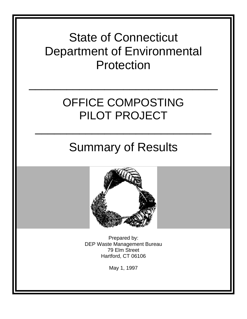

## OFFICE COMPOSTING PILOT PROJECT

 $\frac{1}{2}$  , and the contract of the contract of the contract of the contract of the contract of the contract of the contract of the contract of the contract of the contract of the contract of the contract of the contract

# Summary of Results

 $\frac{1}{2}$  , and the contract of the contract of the contract of the contract of the contract of the contract of the contract of the contract of the contract of the contract of the contract of the contract of the contract



Prepared by: DEP Waste Management Bureau 79 Elm Street Hartford, CT 06106

May 1, 1997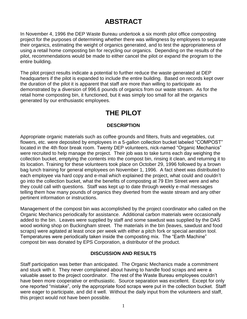## **ABSTRACT**

In November 4, 1996 the DEP Waste Bureau undertook a six month pilot office composting project for the purposes of determining whether there was willingness by employees to separate their organics, estimating the weight of organics generated, and to test the appropriateness of using a retail home composting bin for recycling our organics. Depending on the results of the pilot, recommendations would be made to either cancel the pilot or expand the program to the entire building.

The pilot project results indicate a potential to further reduce the waste generated at DEP headquarters if the pilot is expanded to include the entire building. Based on records kept over the duration of the pilot it is apparent that staff are more than willing to participate as demonstrated by a diversion of 996.6 pounds of organics from our waste stream. As for the retail home composting bin, it functioned, but it was simply too small for all the organics generated by our enthusiastic employees.

### **THE PILOT**

#### **DESCRIPTION**

Appropriate organic materials such as coffee grounds and filters, fruits and vegetables, cut flowers, etc. were deposited by employees in a 5-gallon collection bucket labeled "COMPOST" located in the 4th floor break room. Twenty DEP volunteers, nick-named "Organic Mechanics" were recruited to help manage the project. Their job was to take turns each day weighing the collection bucket, emptying the contents into the compost bin, rinsing it clean, and returning it to its location. Training for these volunteers took place on October 29, 1996 followed by a brown bag lunch training for general employees on November 1, 1996. A fact sheet was distributed to each employee via hard copy and e-mail which explained the project, what could and couldn't go into the collection bucket, what the benefits of composting at 79 Elm Street were and who they could call with questions. Staff was kept up to date through weekly e-mail messages telling them how many pounds of organics they diverted from the waste stream and any other pertinent information or instructions.

Management of the compost bin was accomplished by the project coordinator who called on the Organic Mechanics periodically for assistance. Additional carbon materials were occasionally added to the bin. Leaves were supplied by staff and some sawdust was supplied by the DAS wood working shop on Buckingham street. The materials in the bin (leaves, sawdust and food scraps) were agitated at least once per week with either a pitch fork or special aeration tool. Temperatures were periodically taken inside the composting mix. The "Earth Machine" compost bin was donated by EPS Corporation, a distributor of the product.

#### **DISCUSSION AND RESULTS**

Staff participation was better than anticipated. The Organic Mechanics made a commitment and stuck with it. They never complained about having to handle food scraps and were a valuable asset to the project coordinator. The rest of the Waste Bureau employees couldn't have been more cooperative or enthusiastic. Source separation was excellent. Except for only one reported "mistake", only the appropriate food scraps were put in the collection bucket. Staff were eager to participate, and did it well. Without the daily input from the volunteers and staff, this project would not have been possible.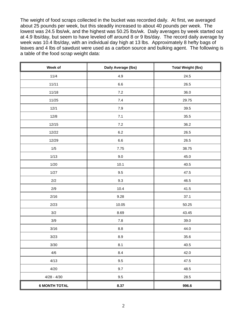The weight of food scraps collected in the bucket was recorded daily. At first, we averaged about 25 pounds per week, but this steadily increased to about 40 pounds per week. The lowest was 24.5 lbs/wk, and the highest was 50.25 lbs/wk. Daily averages by week started out at 4.9 lbs/day, but seem to have leveled off around 8 or 9 lbs/day. The record daily average by week was 10.4 lbs/day, with an individual day high at 13 lbs. Approximately 8 hefty bags of leaves and 4 lbs of sawdust were used as a carbon source and bulking agent. The following is a table of the food scrap weight data:

| Week of              | Daily Average (lbs) | <b>Total Weight (lbs)</b> |
|----------------------|---------------------|---------------------------|
| 11/4                 | $4.9\,$             | 24.5                      |
| 11/11                | $6.6\,$             | 26.5                      |
| 11/18                | $7.2\,$             | 36.0                      |
| 11/25                | $7.4\,$             | 29.75                     |
| 12/1                 | $7.9\,$             | 39.5                      |
| 12/8                 | $7.1$               | 35.5                      |
| 12/15                | $7.2\,$             | 36.2                      |
| 12/22                | $6.2\,$             | 26.5                      |
| 12/29                | $6.6\,$             | 26.5                      |
| $1/5$                | 7.75                | 38.75                     |
| $1/13$               | $9.0\,$             | 45.0                      |
| 1/20                 | 10.1                | 40.5                      |
| 1/27                 | $9.5\,$             | 47.5                      |
| $2/2$                | $9.3\,$             | 46.5                      |
| 2/9                  | 10.4                | 41.5                      |
| 2/16                 | 9.28                | 37.1                      |
| 2/23                 | 10.05               | 50.25                     |
| $3/2$                | 8.69                | 43.45                     |
| $3/9$                | $7.8\,$             | 39.0                      |
| 3/16                 | $8.8\,$             | 44.0                      |
| 3/23                 | $8.9\,$             | 35.6                      |
| 3/30                 | 8.1                 | 40.5                      |
| 4/6                  | 8.4                 | 42.0                      |
| 4/13                 | 9.5                 | 47.5                      |
| 4/20                 | 9.7                 | 48.5                      |
| $4/28 - 4/30$        | 9.5                 | 28.5                      |
| <b>6 MONTH TOTAL</b> | 8.37                | 996.6                     |